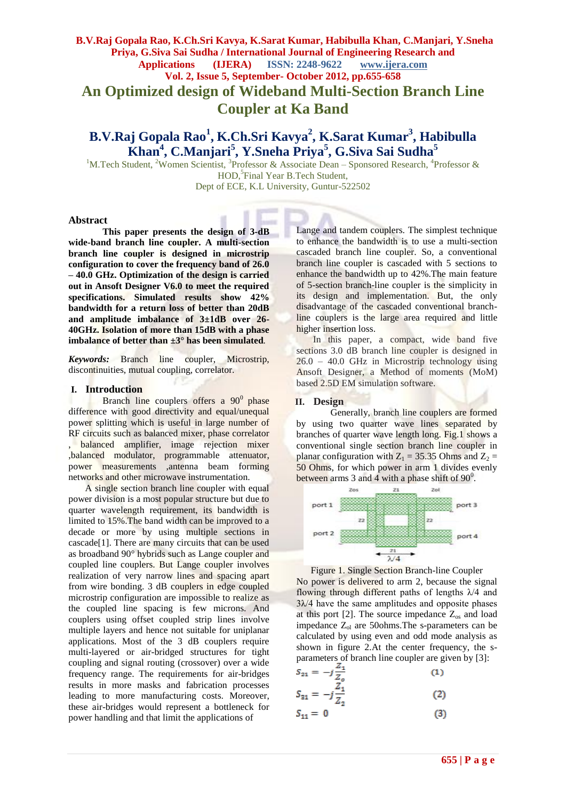# **B.V.Raj Gopala Rao, K.Ch.Sri Kavya, K.Sarat Kumar, Habibulla Khan, C.Manjari, Y.Sneha Priya, G.Siva Sai Sudha / International Journal of Engineering Research and Applications (IJERA) ISSN: 2248-9622 www.ijera.com Vol. 2, Issue 5, September- October 2012, pp.655-658 An Optimized design of Wideband Multi-Section Branch Line Coupler at Ka Band**

# **B.V.Raj Gopala Rao<sup>1</sup> , K.Ch.Sri Kavya<sup>2</sup> , K.Sarat Kumar<sup>3</sup> , Habibulla Khan<sup>4</sup> , C.Manjari<sup>5</sup> , Y.Sneha Priya<sup>5</sup> , G.Siva Sai Sudha<sup>5</sup>**

<sup>1</sup>M.Tech Student, <sup>2</sup>Women Scientist, <sup>3</sup>Professor & Associate Dean – Sponsored Research, <sup>4</sup>Professor & HOD, 5 Final Year B.Tech Student, Dept of ECE, K.L University, Guntur-522502

#### **Abstract**

**This paper presents the design of 3-dB wide-band branch line coupler. A multi-section branch line coupler is designed in microstrip configuration to cover the frequency band of 26.0 – 40.0 GHz. Optimization of the design is carried out in Ansoft Designer V6.0 to meet the required specifications. Simulated results show 42% bandwidth for a return loss of better than 20dB and amplitude imbalance of 3±1dB over 26- 40GHz. Isolation of more than 15dB with a phase imbalance of better than ±3° has been simulated***.*

*Keywords:* Branch line coupler, Microstrip, discontinuities, mutual coupling, correlator.

#### **I. Introduction**

Branch line couplers offers a 90<sup>0</sup> phase difference with good directivity and equal/unequal power splitting which is useful in large number of RF circuits such as balanced mixer, phase correlator , balanced amplifier, image rejection mixer ,balanced modulator, programmable attenuator, power measurements ,antenna beam forming networks and other microwave instrumentation.

 A single section branch line coupler with equal power division is a most popular structure but due to quarter wavelength requirement, its bandwidth is limited to 15%.The band width can be improved to a decade or more by using multiple sections in cascade[1]. There are many circuits that can be used as broadband 90° hybrids such as Lange coupler and coupled line couplers. But Lange coupler involves realization of very narrow lines and spacing apart from wire bonding. 3 dB couplers in edge coupled microstrip configuration are impossible to realize as the coupled line spacing is few microns. And couplers using offset coupled strip lines involve multiple layers and hence not suitable for uniplanar applications. Most of the 3 dB couplers require multi-layered or air-bridged structures for tight coupling and signal routing (crossover) over a wide frequency range. The requirements for air-bridges results in more masks and fabrication processes leading to more manufacturing costs. Moreover, these air-bridges would represent a bottleneck for power handling and that limit the applications of

Lange and tandem couplers. The simplest technique to enhance the bandwidth is to use a multi-section cascaded branch line coupler. So, a conventional branch line coupler is cascaded with 5 sections to enhance the bandwidth up to 42%.The main feature of 5-section branch-line coupler is the simplicity in its design and implementation. But, the only disadvantage of the cascaded conventional branchline couplers is the large area required and little higher insertion loss.

In this paper, a compact, wide band five sections 3.0 dB branch line coupler is designed in  $26.0 - 40.0$  GHz in Microstrip technology using Ansoft Designer, a Method of moments (MoM) based 2.5D EM simulation software.

### **II. Design**

Generally, branch line couplers are formed by using two quarter wave lines separated by branches of quarter wave length long. Fig.1 shows a conventional single section branch line coupler in planar configuration with  $Z_1 = 35.35$  Ohms and  $Z_2 =$ 50 Ohms, for which power in arm 1 divides evenly between arms  $3$  and  $4$  with a phase shift of  $90^0$ .



Figure 1. Single Section Branch-line Coupler No power is delivered to arm 2, because the signal flowing through different paths of lengths  $\lambda/4$  and  $3\lambda/4$  have the same amplitudes and opposite phases at this port [2]. The source impedance  $Z_{\text{os}}$  and load impedance Z<sub>ol</sub> are 50ohms. The s-parameters can be calculated by using even and odd mode analysis as shown in figure 2.At the center frequency, the sparameters of branch line coupler are given by [3]:

$$
S_{21} = -j\frac{21}{Z_o} \tag{1}
$$

$$
S_{31} = -j\frac{Z_1}{Z_2}
$$
 (2)

$$
S_{11} = 0 \tag{3}
$$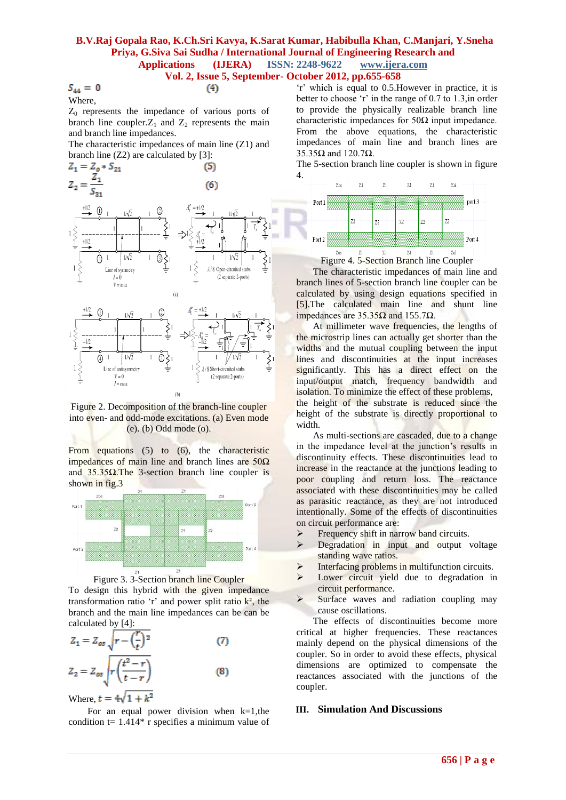# **B.V.Raj Gopala Rao, K.Ch.Sri Kavya, K.Sarat Kumar, Habibulla Khan, C.Manjari, Y.Sneha Priya, G.Siva Sai Sudha / International Journal of Engineering Research and Applications (IJERA) ISSN: 2248-9622 www.ijera.com**

# **Vol. 2, Issue 5, September- October 2012, pp.655-658**

 $S_{44} = 0$ Where,

 $(4)$ 

$$
\mathbf{e}^{\mathbf{e}^{\mathbf{e}^{\mathbf{e}^{\mathbf{e}}}}}
$$

 $Z_0$  represents the impedance of various ports of branch line coupler. $Z_1$  and  $Z_2$  represents the main and branch line impedances.

The characteristic impedances of main line (Z1) and branch line (Z2) are calculated by [3]:



Figure 2. Decomposition of the branch-line coupler into even- and odd-mode excitations. (a) Even mode (e). (b) Odd mode (o).

From equations (5) to (6), the characteristic impedances of main line and branch lines are  $50\Omega$ and  $35.35\Omega$ .The 3-section branch line coupler is shown in fig.3





To design this hybrid with the given impedance transformation ratio 'r' and power split ratio  $k^2$ , the branch and the main line impedances can be can be calculated by [4]:

$$
Z_1 = Z_{os} \sqrt{r - \left(\frac{r}{t}\right)^2}
$$
(7)  

$$
Z_2 = Z_{os} \sqrt{r \left(\frac{t^2 - r}{t - r}\right)}
$$
(8)

Where,  $t = 4\sqrt{1 + k^2}$ 

For an equal power division when  $k=1$ , the condition  $t = 1.414*$  r specifies a minimum value of 'r' which is equal to 0.5. However in practice, it is better to choose 'r' in the range of 0.7 to 1.3, in order to provide the physically realizable branch line characteristic impedances for  $50\Omega$  input impedance. From the above equations, the characteristic impedances of main line and branch lines are 35.35Ω and 120.7Ω.

The 5-section branch line coupler is shown in figure 4.



 The characteristic impedances of main line and branch lines of 5-section branch line coupler can be calculated by using design equations specified in [5].The calculated main line and shunt line impedances are  $35.35Ω$  and  $155.7Ω$ .

 At millimeter wave frequencies, the lengths of the microstrip lines can actually get shorter than the widths and the mutual coupling between the input lines and discontinuities at the input increases significantly. This has a direct effect on the input/output match, frequency bandwidth and isolation. To minimize the effect of these problems, the height of the substrate is reduced since the height of the substrate is directly proportional to

width. As multi-sections are cascaded, due to a change in the impedance level at the junction's results in discontinuity effects. These discontinuities lead to increase in the reactance at the junctions leading to poor coupling and return loss. The reactance associated with these discontinuities may be called as parasitic reactance, as they are not introduced intentionally. Some of the effects of discontinuities on circuit performance are:

- $\triangleright$  Frequency shift in narrow band circuits.
- > Degradation in input and output voltage standing wave ratios.
- Interfacing problems in multifunction circuits.<br>  $\sum$  Lower circuit vield due to degradation in
- Lower circuit yield due to degradation in circuit performance.
- $\triangleright$  Surface waves and radiation coupling may cause oscillations.

 The effects of discontinuities become more critical at higher frequencies. These reactances mainly depend on the physical dimensions of the coupler. So in order to avoid these effects, physical dimensions are optimized to compensate the reactances associated with the junctions of the coupler.

### **III. Simulation And Discussions**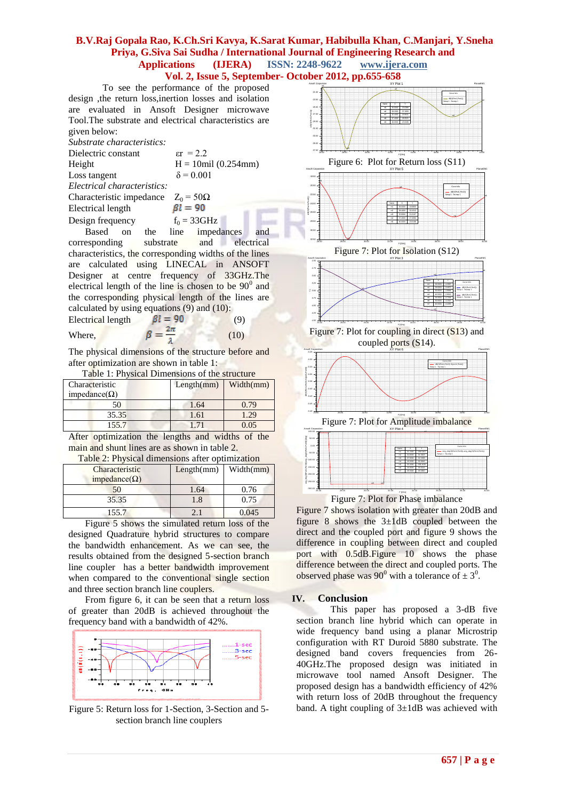### **B.V.Raj Gopala Rao, K.Ch.Sri Kavya, K.Sarat Kumar, Habibulla Khan, C.Manjari, Y.Sneha Priya, G.Siva Sai Sudha / International Journal of Engineering Research and Applications (IJERA) ISSN: 2248-9622 www.ijera.com Vol. 2, Issue 5, September- October 2012, pp.655-658**

 To see the performance of the proposed design ,the return loss,inertion losses and isolation are evaluated in Ansoft Designer microwave Tool.The substrate and electrical characteristics are given below:

*Substrate characteristics:* Dielectric constant  $\varepsilon r = 2.2$ Height  $H = 10$ mil (0.254mm) Loss tangent  $\delta = 0.001$ *Electrical characteristics:*

Characteristic impedance  $Z_0 = 50\Omega$ <br>Electrical length  $\beta l = 90$ Electrical length Design frequency  $f_0 = 33 \text{GHz}$ 

 Based on the line impedances and corresponding substrate and electrical characteristics, the corresponding widths of the lines are calculated using LINECAL in ANSOFT Designer at centre frequency of 33GHz.The electrical length of the line is chosen to be  $90^{\circ}$  and the corresponding physical length of the lines are calculated by using equations (9) and (10):

Electrical length  $\beta l = 90$  (9) Where,  $\beta = \frac{2\pi}{\epsilon}$  (10)

The physical dimensions of the structure before and after optimization are shown in table 1:

Table 1: Physical Dimensions of the structure

| Characteristic | Length(mm) | Width(mm) |
|----------------|------------|-----------|
| impedance(Ω)   |            |           |
| 50             | 1.64       | 0.79      |
| 35.35          | 1.61       | 1.29      |
| 155.7          |            | 0.05      |
|                |            |           |

After optimization the lengths and widths of the main and shunt lines are as shown in table 2.

Table 2: Physical dimensions after optimization

| Characteristic<br>impedance( $\Omega$ ) | Length(mm) | Width(mm) |
|-----------------------------------------|------------|-----------|
| 50                                      | 1.64       | 0.76      |
| 35.35                                   | 1.8        | 0.75      |
| 155.7                                   |            |           |

 Figure 5 shows the simulated return loss of the designed Quadrature hybrid structures to compare the bandwidth enhancement. As we can see, the results obtained from the designed 5-section branch line coupler has a better bandwidth improvement when compared to the conventional single section and three section branch line couplers.

 From figure 6, it can be seen that a return loss of greater than 20dB is achieved throughout the frequency band with a bandwidth of 42%.



Figure 5: Return loss for 1-Section, 3-Section and 5 section branch line couplers



Ang deg S(Port 1,  $\frac{1}{2}$ <br>
ang deg S(Port)<br>
ang deg S(Port)<br>
ang deg S(Port)<br>
ang deg S(Port)<br>
ang deg S(Port)<br>
ang deg S(Port)<br>
ang deg S(Port)<br>
ang deg S(Port)<br>
ang deg S(Port)<br>
ang deg S(Port)<br>
ang deg S(Port)<br>
ang d Curve Info ang\_deg(S(Port1,Port3))-ang\_deg(S(Port1,Port4)) Setup 1 : Sw eep 1 Name X X Y mt 31.2000 -268.5467 m2 34.8000 91.5605 m3 37.8000 92.3388 m4 40.0000 92.6918 m5 30.4000 -268.4030 m6 26.8000 90.9216

m7 26.0000 90.0890

26.00 28.00 30.00 32.00 34.00 36.00 38.00 40.00<br>-

m2 m3 m4

Figure 7: Plot for Amplitude imbalance

26.00 28.00 30.00 32.00 34.00 36.00 38.00 40.00 F [GHz] Figure 7: Plot for Phase imbalance

m1

m5

Figure 7 shows isolation with greater than 20dB and figure 8 shows the 3±1dB coupled between the direct and the coupled port and figure 9 shows the difference in coupling between direct and coupled port with 0.5dB.Figure 10 shows the phase difference between the direct and coupled ports. The observed phase was 90<sup>0</sup> with a tolerance of  $\pm 3^0$ .

### **IV. Conclusion**

-0.48 -0.45 -0.43 -0.40 -0.38 -0.35 -0.33

m7 m6

-300.00  $-250.00 -200.00 -150.00 -$ -100.00 -50.00  $0.00 -$ 50.00 100.00

 This paper has proposed a 3-dB five section branch line hybrid which can operate in wide frequency band using a planar Microstrip configuration with RT Duroid 5880 substrate. The designed band covers frequencies from 26- 40GHz.The proposed design was initiated in microwave tool named Ansoft Designer. The proposed design has a bandwidth efficiency of 42% with return loss of 20dB throughout the frequency band. A tight coupling of 3±1dB was achieved with